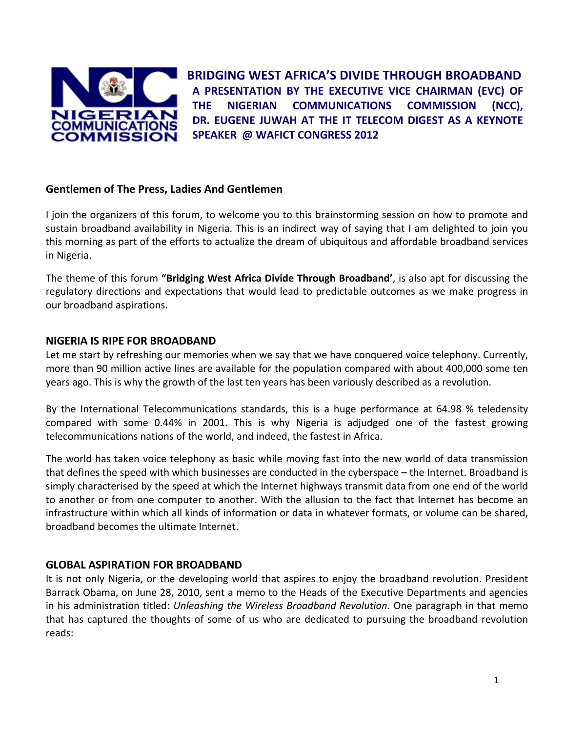

**BRIDGING WEST AFRICA'S DIVIDE THROUGH BROADBAND A PRESENTATION BY THE EXECUTIVE VICE CHAIRMAN (EVC) OF THE NIGERIAN COMMUNICATIONS COMMISSION (NCC), DR. EUGENE JUWAH AT THE IT TELECOM DIGEST AS A KEYNOTE SPEAKER @ WAFICT CONGRESS 2012**

## **Gentlemen of The Press, Ladies And Gentlemen**

I join the organizers of this forum, to welcome you to this brainstorming session on how to promote and sustain broadband availability in Nigeria. This is an indirect way of saying that I am delighted to join you this morning as part of the efforts to actualize the dream of ubiquitous and affordable broadband services in Nigeria.

The theme of this forum **"Bridging West Africa Divide Through Broadband'**, is also apt for discussing the regulatory directions and expectations that would lead to predictable outcomes as we make progress in our broadband aspirations.

## **NIGERIA IS RIPE FOR BROADBAND**

Let me start by refreshing our memories when we say that we have conquered voice telephony. Currently, more than 90 million active lines are available for the population compared with about 400,000 some ten years ago. This is why the growth of the last ten years has been variously described as a revolution.

By the International Telecommunications standards, this is a huge performance at 64.98 % teledensity compared with some 0.44% in 2001. This is why Nigeria is adjudged one of the fastest growing telecommunications nations of the world, and indeed, the fastest in Africa.

The world has taken voice telephony as basic while moving fast into the new world of data transmission that defines the speed with which businesses are conducted in the cyberspace – the Internet. Broadband is simply characterised by the speed at which the Internet highways transmit data from one end of the world to another or from one computer to another. With the allusion to the fact that Internet has become an infrastructure within which all kinds of information or data in whatever formats, or volume can be shared, broadband becomes the ultimate Internet.

# **GLOBAL ASPIRATION FOR BROADBAND**

It is not only Nigeria, or the developing world that aspires to enjoy the broadband revolution. President Barrack Obama, on June 28, 2010, sent a memo to the Heads of the Executive Departments and agencies in his administration titled: *Unleashing the Wireless Broadband Revolution.* One paragraph in that memo that has captured the thoughts of some of us who are dedicated to pursuing the broadband revolution reads: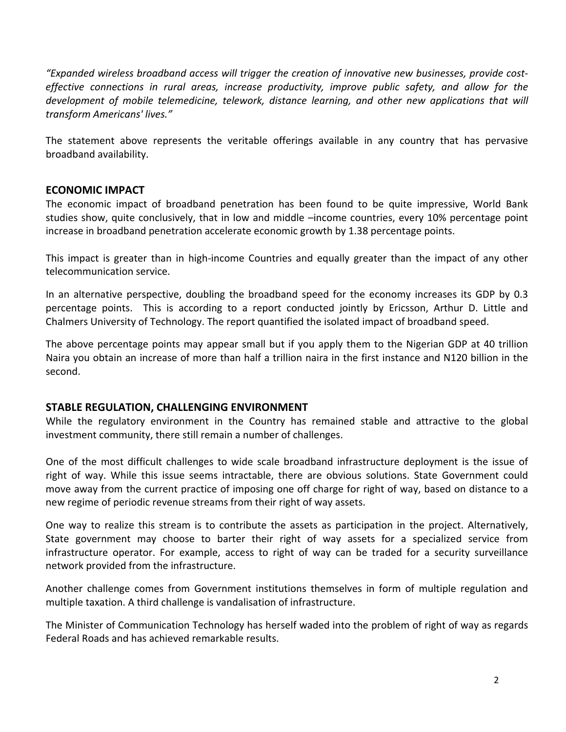*"Expanded wireless broadband access will trigger the creation of innovative new businesses, provide cost‐ effective connections in rural areas, increase productivity, improve public safety, and allow for the development of mobile telemedicine, telework, distance learning, and other new applications that will transform Americans' lives."*

The statement above represents the veritable offerings available in any country that has pervasive broadband availability.

### **ECONOMIC IMPACT**

The economic impact of broadband penetration has been found to be quite impressive, World Bank studies show, quite conclusively, that in low and middle –income countries, every 10% percentage point increase in broadband penetration accelerate economic growth by 1.38 percentage points.

This impact is greater than in high‐income Countries and equally greater than the impact of any other telecommunication service.

In an alternative perspective, doubling the broadband speed for the economy increases its GDP by 0.3 percentage points. This is according to a report conducted jointly by Ericsson, Arthur D. Little and Chalmers University of Technology. The report quantified the isolated impact of broadband speed.

The above percentage points may appear small but if you apply them to the Nigerian GDP at 40 trillion Naira you obtain an increase of more than half a trillion naira in the first instance and N120 billion in the second.

#### **STABLE REGULATION, CHALLENGING ENVIRONMENT**

While the regulatory environment in the Country has remained stable and attractive to the global investment community, there still remain a number of challenges.

One of the most difficult challenges to wide scale broadband infrastructure deployment is the issue of right of way. While this issue seems intractable, there are obvious solutions. State Government could move away from the current practice of imposing one off charge for right of way, based on distance to a new regime of periodic revenue streams from their right of way assets.

One way to realize this stream is to contribute the assets as participation in the project. Alternatively, State government may choose to barter their right of way assets for a specialized service from infrastructure operator. For example, access to right of way can be traded for a security surveillance network provided from the infrastructure.

Another challenge comes from Government institutions themselves in form of multiple regulation and multiple taxation. A third challenge is vandalisation of infrastructure.

The Minister of Communication Technology has herself waded into the problem of right of way as regards Federal Roads and has achieved remarkable results.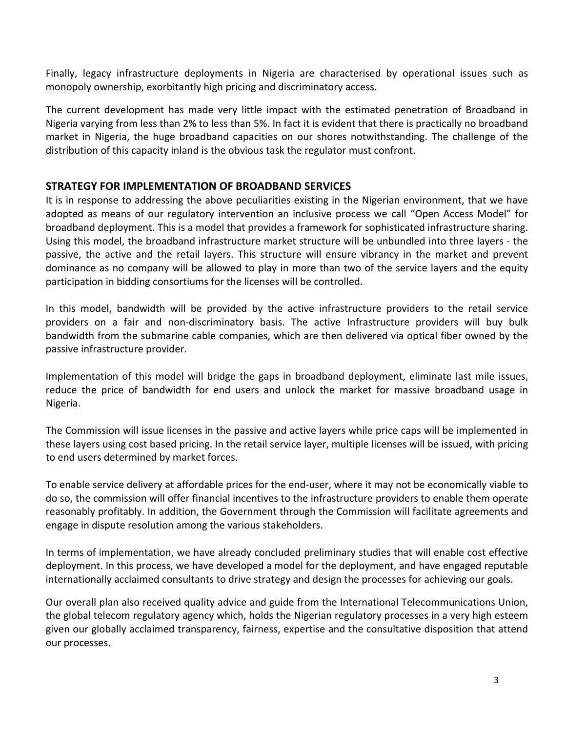Finally, legacy infrastructure deployments in Nigeria are characterised by operational issues such as monopoly ownership, exorbitantly high pricing and discriminatory access.

The current development has made very little impact with the estimated penetration of Broadband in Nigeria varying from less than 2% to less than 5%. In fact it is evident that there is practically no broadband market in Nigeria, the huge broadband capacities on our shores notwithstanding. The challenge of the distribution of this capacity inland is the obvious task the regulator must confront.

## **STRATEGY FOR IMPLEMENTATION OF BROADBAND SERVICES**

It is in response to addressing the above peculiarities existing in the Nigerian environment, that we have adopted as means of our regulatory intervention an inclusive process we call "Open Access Model" for broadband deployment. This is a model that provides a framework for sophisticated infrastructure sharing. Using this model, the broadband infrastructure market structure will be unbundled into three layers ‐ the passive, the active and the retail layers. This structure will ensure vibrancy in the market and prevent dominance as no company will be allowed to play in more than two of the service layers and the equity participation in bidding consortiums for the licenses will be controlled.

In this model, bandwidth will be provided by the active infrastructure providers to the retail service providers on a fair and non-discriminatory basis. The active Infrastructure providers will buy bulk bandwidth from the submarine cable companies, which are then delivered via optical fiber owned by the passive infrastructure provider.

Implementation of this model will bridge the gaps in broadband deployment, eliminate last mile issues, reduce the price of bandwidth for end users and unlock the market for massive broadband usage in Nigeria.

The Commission will issue licenses in the passive and active layers while price caps will be implemented in these layers using cost based pricing. In the retail service layer, multiple licenses will be issued, with pricing to end users determined by market forces.

To enable service delivery at affordable prices for the end‐user, where it may not be economically viable to do so, the commission will offer financial incentives to the infrastructure providers to enable them operate reasonably profitably. In addition, the Government through the Commission will facilitate agreements and engage in dispute resolution among the various stakeholders.

In terms of implementation, we have already concluded preliminary studies that will enable cost effective deployment. In this process, we have developed a model for the deployment, and have engaged reputable internationally acclaimed consultants to drive strategy and design the processes for achieving our goals.

Our overall plan also received quality advice and guide from the International Telecommunications Union, the global telecom regulatory agency which, holds the Nigerian regulatory processes in a very high esteem given our globally acclaimed transparency, fairness, expertise and the consultative disposition that attend our processes.